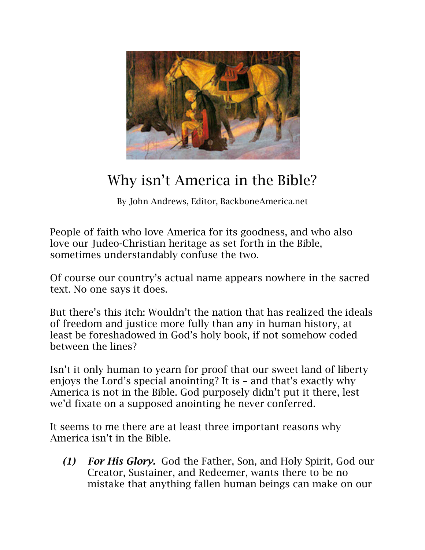

## Why isn't America in the Bible?

By John Andrews, Editor, BackboneAmerica.net

People of faith who love America for its goodness, and who also love our Judeo-Christian heritage as set forth in the Bible, sometimes understandably confuse the two.

Of course our country's actual name appears nowhere in the sacred text. No one says it does.

But there's this itch: Wouldn't the nation that has realized the ideals of freedom and justice more fully than any in human history, at least be foreshadowed in God's holy book, if not somehow coded between the lines?

Isn't it only human to yearn for proof that our sweet land of liberty enjoys the Lord's special anointing? It is – and that's exactly why America is not in the Bible. God purposely didn't put it there, lest we'd fixate on a supposed anointing he never conferred.

It seems to me there are at least three important reasons why America isn't in the Bible.

*(1) For His Glory.* God the Father, Son, and Holy Spirit, God our Creator, Sustainer, and Redeemer, wants there to be no mistake that anything fallen human beings can make on our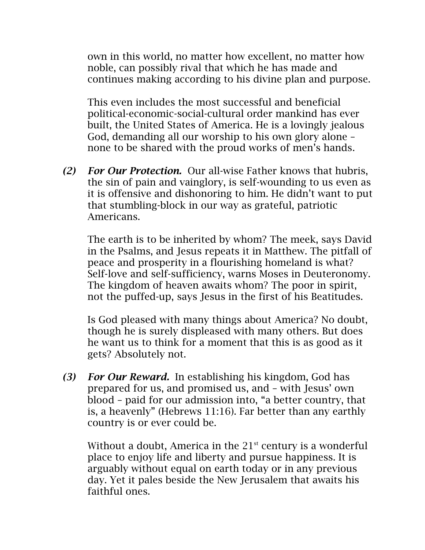own in this world, no matter how excellent, no matter how noble, can possibly rival that which he has made and continues making according to his divine plan and purpose.

This even includes the most successful and beneficial political-economic-social-cultural order mankind has ever built, the United States of America. He is a lovingly jealous God, demanding all our worship to his own glory alone – none to be shared with the proud works of men's hands.

*(2) For Our Protection.* Our all-wise Father knows that hubris, the sin of pain and vainglory, is self-wounding to us even as it is offensive and dishonoring to him. He didn't want to put that stumbling-block in our way as grateful, patriotic Americans.

The earth is to be inherited by whom? The meek, says David in the Psalms, and Jesus repeats it in Matthew. The pitfall of peace and prosperity in a flourishing homeland is what? Self-love and self-sufficiency, warns Moses in Deuteronomy. The kingdom of heaven awaits whom? The poor in spirit, not the puffed-up, says Jesus in the first of his Beatitudes.

Is God pleased with many things about America? No doubt, though he is surely displeased with many others. But does he want us to think for a moment that this is as good as it gets? Absolutely not.

*(3) For Our Reward.* In establishing his kingdom, God has prepared for us, and promised us, and – with Jesus' own blood – paid for our admission into, "a better country, that is, a heavenly" (Hebrews 11:16). Far better than any earthly country is or ever could be.

Without a doubt, America in the  $21<sup>st</sup>$  century is a wonderful place to enjoy life and liberty and pursue happiness. It is arguably without equal on earth today or in any previous day. Yet it pales beside the New Jerusalem that awaits his faithful ones.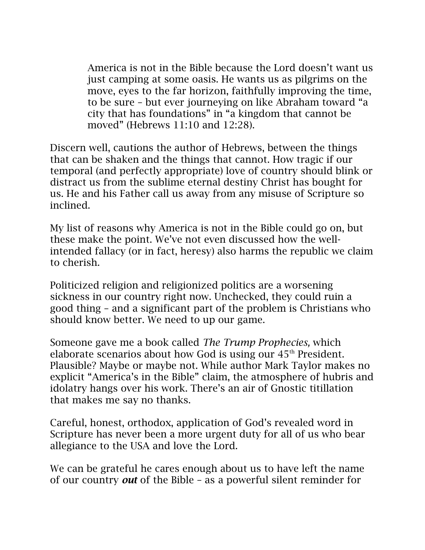America is not in the Bible because the Lord doesn't want us just camping at some oasis. He wants us as pilgrims on the move, eyes to the far horizon, faithfully improving the time, to be sure – but ever journeying on like Abraham toward "a city that has foundations" in "a kingdom that cannot be moved" (Hebrews 11:10 and 12:28).

Discern well, cautions the author of Hebrews, between the things that can be shaken and the things that cannot. How tragic if our temporal (and perfectly appropriate) love of country should blink or distract us from the sublime eternal destiny Christ has bought for us. He and his Father call us away from any misuse of Scripture so inclined.

My list of reasons why America is not in the Bible could go on, but these make the point. We've not even discussed how the wellintended fallacy (or in fact, heresy) also harms the republic we claim to cherish.

Politicized religion and religionized politics are a worsening sickness in our country right now. Unchecked, they could ruin a good thing – and a significant part of the problem is Christians who should know better. We need to up our game.

Someone gave me a book called *The Trump Prophecies,* which elaborate scenarios about how God is using our  $45<sup>th</sup>$  President. Plausible? Maybe or maybe not. While author Mark Taylor makes no explicit "America's in the Bible" claim, the atmosphere of hubris and idolatry hangs over his work. There's an air of Gnostic titillation that makes me say no thanks.

Careful, honest, orthodox, application of God's revealed word in Scripture has never been a more urgent duty for all of us who bear allegiance to the USA and love the Lord.

We can be grateful he cares enough about us to have left the name of our country *out* of the Bible – as a powerful silent reminder for